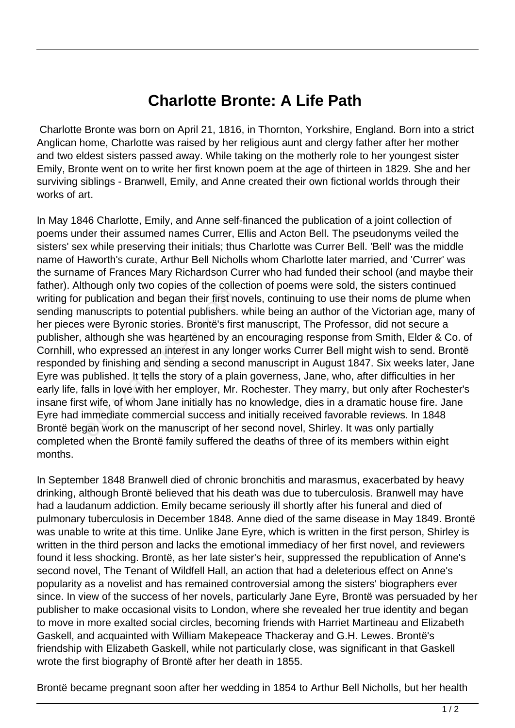## **Charlotte Bronte: A Life Path**

 Charlotte Bronte was born on April 21, 1816, in Thornton, Yorkshire, England. Born into a strict Anglican home, Charlotte was raised by her religious aunt and clergy father after her mother and two eldest sisters passed away. While taking on the motherly role to her youngest sister Emily, Bronte went on to write her first known poem at the age of thirteen in 1829. She and her surviving siblings - Branwell, Emily, and Anne created their own fictional worlds through their works of art.

In May 1846 Charlotte, Emily, and Anne self-financed the publication of a joint collection of poems under their assumed names Currer, Ellis and Acton Bell. The pseudonyms veiled the sisters' sex while preserving their initials; thus Charlotte was Currer Bell. 'Bell' was the middle name of Haworth's curate, Arthur Bell Nicholls whom Charlotte later married, and 'Currer' was the surname of Frances Mary Richardson Currer who had funded their school (and maybe their father). Although only two copies of the collection of poems were sold, the sisters continued writing for publication and began their first novels, continuing to use their noms de plume when sending manuscripts to potential publishers. while being an author of the Victorian age, many of her pieces were Byronic stories. Brontë's first manuscript, The Professor, did not secure a publisher, although she was heartened by an encouraging response from Smith, Elder & Co. of Cornhill, who expressed an interest in any longer works Currer Bell might wish to send. Brontë responded by finishing and sending a second manuscript in August 1847. Six weeks later, Jane Eyre was published. It tells the story of a plain governess, Jane, who, after difficulties in her early life, falls in love with her employer, Mr. Rochester. They marry, but only after Rochester's insane first wife, of whom Jane initially has no knowledge, dies in a dramatic house fire. Jane Eyre had immediate commercial success and initially received favorable reviews. In 1848 Brontë began work on the manuscript of her second novel, Shirley. It was only partially completed when the Brontë family suffered the deaths of three of its members within eight months. publication and began their first no<br>anuscripts to potential publishers.<br>were Byronic stories. Brontë's firs<br>although she was heartened by a<br>ho expressed an interest in any lc<br>l by finishing and sending a secon<br>published.

In September 1848 Branwell died of chronic bronchitis and marasmus, exacerbated by heavy drinking, although Brontë believed that his death was due to tuberculosis. Branwell may have had a laudanum addiction. Emily became seriously ill shortly after his funeral and died of pulmonary tuberculosis in December 1848. Anne died of the same disease in May 1849. Brontë was unable to write at this time. Unlike Jane Eyre, which is written in the first person, Shirley is written in the third person and lacks the emotional immediacy of her first novel, and reviewers found it less shocking. Brontë, as her late sister's heir, suppressed the republication of Anne's second novel, The Tenant of Wildfell Hall, an action that had a deleterious effect on Anne's popularity as a novelist and has remained controversial among the sisters' biographers ever since. In view of the success of her novels, particularly Jane Eyre, Brontë was persuaded by her publisher to make occasional visits to London, where she revealed her true identity and began to move in more exalted social circles, becoming friends with Harriet Martineau and Elizabeth Gaskell, and acquainted with William Makepeace Thackeray and G.H. Lewes. Brontë's friendship with Elizabeth Gaskell, while not particularly close, was significant in that Gaskell wrote the first biography of Brontë after her death in 1855.

Brontë became pregnant soon after her wedding in 1854 to Arthur Bell Nicholls, but her health